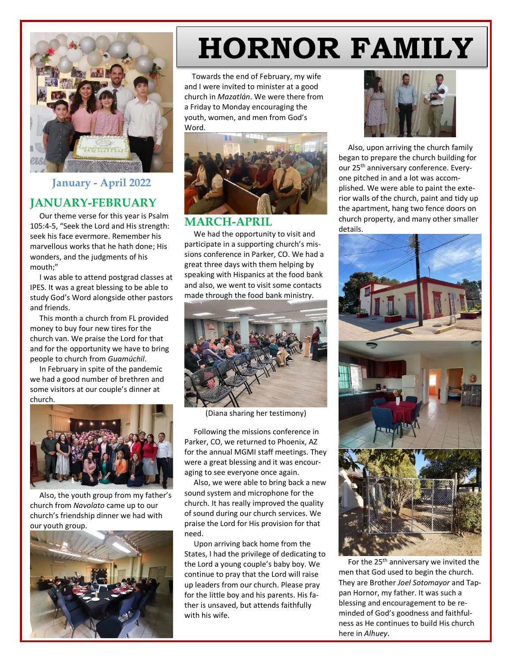

## **January - April 2022 JANUARY-FEBRUARY**

 Our theme verse for this year is Psalm 105:4-5, "Seek the Lord and His strength: seek his face evermore. Remember his marvellous works that he hath done; His wonders, and the judgments of his mouth;"

 I was able to attend postgrad classes at IPES. It was a great blessing to be able to study God's Word alongside other pastors and friends.

 This month a church from FL provided money to buy four new tires for the church van. We praise the Lord for that and for the opportunity we have to bring people to church from *Guamúchil*.

 In February in spite of the pandemic we had a good number of brethren and some visitors at our couple's dinner at church.



 Also, the youth group from my father's church from *Navolato* came up to our church's friendship dinner we had with our youth group.



## **HORNOR FAMILY**

Towards the end of February, my wife **Serving the Lord in Single Corporation** of the Lord in Single Corporation of the Lord in Single Corporation of the Lord in Single Corporation of the Lord in Single Corporation of the L and I were invited to minister at a good church in *Mazatlán*. We were there from a Friday to Monday encouraging the youth, women, and men from God's Word.



## **MARCH-APRIL**

 We had the opportunity to visit and participate in a supporting church's missions conference in Parker, CO. We had a great three days with them helping by speaking with Hispanics at the food bank and also, we went to visit some contacts made through the food bank ministry.



(Diana sharing her testimony)

 Following the missions conference in Parker, CO, we returned to Phoenix, AZ for the annual MGMI staff meetings. They were a great blessing and it was encouraging to see everyone once again.

 Also, we were able to bring back a new sound system and microphone for the church. It has really improved the quality of sound during our church services. We praise the Lord for His provision for that need.

 Upon arriving back home from the States, I had the privilege of dedicating to the Lord a young couple's baby boy. We continue to pray that the Lord will raise up leaders from our church. Please pray for the little boy and his parents. His father is unsaved, but attends faithfully with his wife.



 Also, upon arriving the church family began to prepare the church building for our 25th anniversary conference. Everyone pitched in and a lot was accomplished. We were able to paint the exterior walls of the church, paint and tidy up the apartment, hang two fence doors on church property, and many other smaller details.



For the 25<sup>th</sup> anniversary we invited the men that God used to begin the church. They are Brother *Joel Sotomayor* and Tappan Hornor, my father. It was such a blessing and encouragement to be reminded of God's goodness and faithfulness as He continues to build His church here in *Alhuey*.